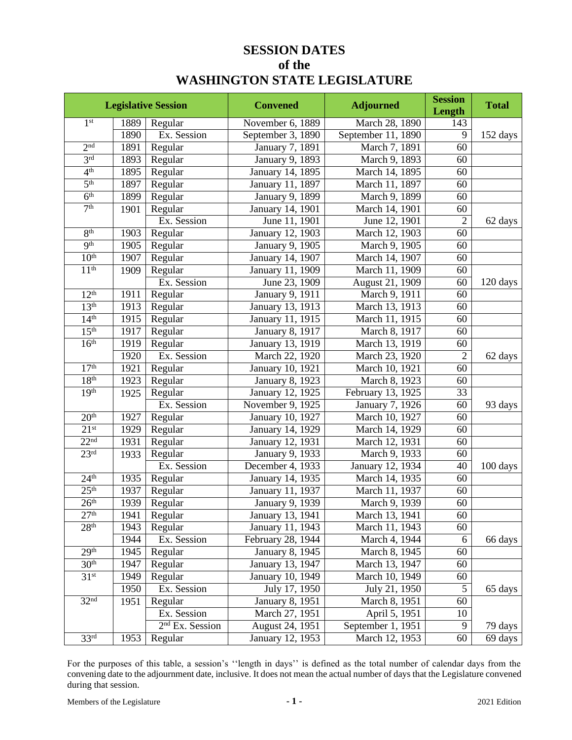# **SESSION DATES of the WASHINGTON STATE LEGISLATURE**

|                     |      | <b>Legislative Session</b> | <b>Convened</b>   | <b>Adjourned</b>   | <b>Session</b><br>Length | <b>Total</b> |
|---------------------|------|----------------------------|-------------------|--------------------|--------------------------|--------------|
| 1 <sup>st</sup>     | 1889 | Regular                    | November 6, 1889  | March 28, 1890     | 143                      |              |
|                     | 1890 | Ex. Session                | September 3, 1890 | September 11, 1890 | 9                        | 152 days     |
| 2 <sup>nd</sup>     | 1891 | Regular                    | January 7, 1891   | March 7, 1891      | 60                       |              |
| 3 <sup>rd</sup>     | 1893 | Regular                    | January 9, 1893   | March 9, 1893      | 60                       |              |
| 4 <sup>th</sup>     | 1895 | Regular                    | January 14, 1895  | March 14, 1895     | 60                       |              |
| $\overline{5^{th}}$ | 1897 | Regular                    | January 11, 1897  | March 11, 1897     | $\overline{60}$          |              |
| $\overline{6^{th}}$ | 1899 | Regular                    | January 9, 1899   | March 9, 1899      | 60                       |              |
| 7 <sup>th</sup>     | 1901 | Regular                    | January 14, 1901  | March 14, 1901     | 60                       |              |
|                     |      | Ex. Session                | June 11, 1901     | June 12, 1901      | $\overline{2}$           | 62 days      |
| 8 <sup>th</sup>     | 1903 | Regular                    | January 12, 1903  | March 12, 1903     | 60                       |              |
| Q <sup>th</sup>     | 1905 | Regular                    | January 9, 1905   | March 9, 1905      | 60                       |              |
| 10 <sup>th</sup>    | 1907 | Regular                    | January 14, 1907  | March 14, 1907     | 60                       |              |
| 11 <sup>th</sup>    | 1909 | Regular                    | January 11, 1909  | March 11, 1909     | 60                       |              |
|                     |      | Ex. Session                | June 23, 1909     | August 21, 1909    | 60                       | 120 days     |
| 12 <sup>th</sup>    | 1911 | Regular                    | January 9, 1911   | March 9, 1911      | 60                       |              |
| 13 <sup>th</sup>    | 1913 | Regular                    | January 13, 1913  | March 13, 1913     | 60                       |              |
| 14 <sup>th</sup>    | 1915 | Regular                    | January 11, 1915  | March 11, 1915     | 60                       |              |
| 15 <sup>th</sup>    | 1917 | Regular                    | January 8, 1917   | March 8, 1917      | 60                       |              |
| 16 <sup>th</sup>    | 1919 | Regular                    | January 13, 1919  | March 13, 1919     | 60                       |              |
|                     | 1920 | Ex. Session                | March 22, 1920    | March 23, 1920     | $\overline{2}$           | 62 days      |
| 17 <sup>th</sup>    | 1921 | Regular                    | January 10, 1921  | March 10, 1921     | 60                       |              |
| 18 <sup>th</sup>    | 1923 | Regular                    | January 8, 1923   | March 8, 1923      | 60                       |              |
| 19 <sup>th</sup>    | 1925 | Regular                    | January 12, 1925  | February 13, 1925  | 33                       |              |
|                     |      | Ex. Session                | November 9, 1925  | January 7, 1926    | $\overline{60}$          | 93 days      |
| 20 <sup>th</sup>    | 1927 | Regular                    | January 10, 1927  | March 10, 1927     | 60                       |              |
| $21^{st}$           | 1929 | Regular                    | January 14, 1929  | March 14, 1929     | 60                       |              |
| 22 <sup>nd</sup>    | 1931 | Regular                    | January 12, 1931  | March 12, 1931     | 60                       |              |
| 23 <sup>rd</sup>    | 1933 | Regular                    | January 9, 1933   | March 9, 1933      | 60                       |              |
|                     |      | Ex. Session                | December 4, 1933  | January 12, 1934   | 40                       | 100 days     |
| 24 <sup>th</sup>    | 1935 | Regular                    | January 14, 1935  | March 14, 1935     | 60                       |              |
| 25 <sup>th</sup>    | 1937 | Regular                    | January 11, 1937  | March 11, 1937     | 60                       |              |
| 26 <sup>th</sup>    | 1939 | Regular                    | January 9, 1939   | March 9, 1939      | 60                       |              |
| 27 <sup>th</sup>    | 1941 | Regular                    | January 13, 1941  | March 13, 1941     | 60                       |              |
| 28 <sup>th</sup>    | 1943 | Regular                    | January 11, 1943  | March 11, 1943     | 60                       |              |
|                     | 1944 | Ex. Session                | February 28, 1944 | March 4, 1944      | 6                        | 66 days      |
| 29 <sup>th</sup>    | 1945 | Regular                    | January 8, 1945   | March 8, 1945      | 60                       |              |
| 30 <sup>th</sup>    | 1947 | Regular                    | January 13, 1947  | March 13, 1947     | 60                       |              |
| 31 <sup>st</sup>    | 1949 | Regular                    | January 10, 1949  | March 10, 1949     | 60                       |              |
|                     | 1950 | Ex. Session                | July 17, 1950     | July 21, 1950      | $\overline{5}$           | 65 days      |
| 32 <sup>nd</sup>    | 1951 | Regular                    | January 8, 1951   | March 8, 1951      | 60                       |              |
|                     |      | Ex. Session                | March 27, 1951    | April 5, 1951      | 10                       |              |
|                     |      | $2nd$ Ex. Session          | August 24, 1951   | September 1, 1951  | $\overline{9}$           | 79 days      |
| 33 <sup>rd</sup>    | 1953 | Regular                    | January 12, 1953  | March 12, 1953     | 60                       | 69 days      |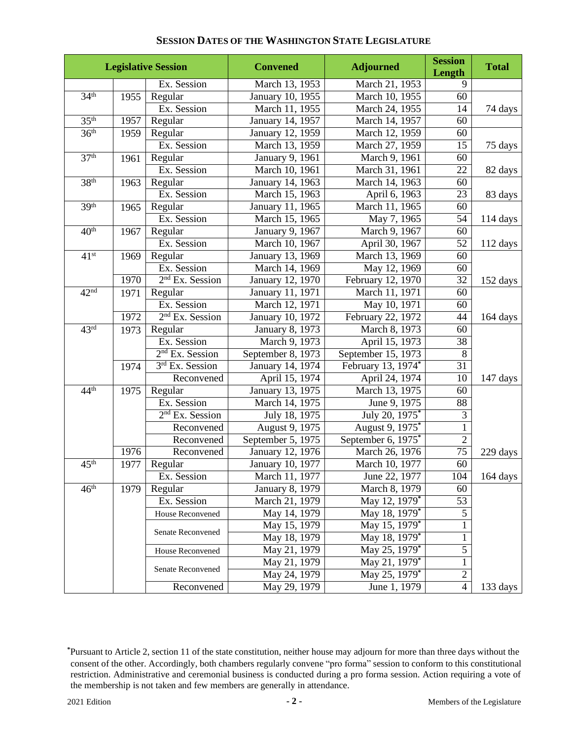|                      |      | <b>Legislative Session</b>  | <b>Convened</b>        | <b>Adjourned</b>            | <b>Session</b><br>Length | <b>Total</b>       |
|----------------------|------|-----------------------------|------------------------|-----------------------------|--------------------------|--------------------|
|                      |      | Ex. Session                 | March 13, 1953         | March 21, 1953              | 9                        |                    |
| 34 <sup>th</sup>     | 1955 | Regular                     | January 10, 1955       | March 10, 1955              | 60                       |                    |
|                      |      | Ex. Session                 | March 11, 1955         | March 24, 1955              | 14                       | 74 days            |
| 35 <sup>th</sup>     | 1957 | Regular                     | January 14, 1957       | March 14, 1957              | 60                       |                    |
| 36 <sup>th</sup>     | 1959 | Regular                     | January 12, 1959       | March 12, 1959              | 60                       |                    |
|                      |      | Ex. Session                 | March 13, 1959         | March 27, 1959              | $\overline{15}$          | 75 days            |
| 37 <sup>th</sup>     | 1961 | Regular                     | January 9, 1961        | March 9, 1961               | 60                       |                    |
|                      |      | Ex. Session                 | March 10, 1961         | March 31, 1961              | $\overline{22}$          | 82 days            |
| 38 <sup>th</sup>     | 1963 | Regular                     | January 14, 1963       | March 14, 1963              | 60                       |                    |
|                      |      | Ex. Session                 | March 15, 1963         | April 6, 1963               | 23                       | 83 days            |
| 39 <sup>th</sup>     | 1965 | Regular                     | January 11, 1965       | March 11, 1965              | 60                       |                    |
|                      |      | Ex. Session                 | March 15, 1965         | May 7, 1965                 | $\overline{54}$          | $114 \text{ days}$ |
| 40 <sup>th</sup>     | 1967 | Regular                     | January 9, 1967        | March 9, 1967               | 60                       |                    |
|                      |      | Ex. Session                 | March 10, 1967         | April 30, 1967              | $\overline{52}$          | 112 days           |
| $41^{st}$            | 1969 | Regular                     | January 13, 1969       | March 13, 1969              | 60                       |                    |
|                      |      | Ex. Session                 | March 14, 1969         | May 12, 1969                | 60                       |                    |
|                      | 1970 | 2 <sup>nd</sup> Ex. Session | January 12, 1970       | February 12, 1970           | 32                       | 152 days           |
| 42 <sup>nd</sup>     | 1971 | Regular                     | January 11, 1971       | March 11, 1971              | 60                       |                    |
|                      |      | Ex. Session                 | March 12, 1971         | May 10, 1971                | $\overline{60}$          |                    |
|                      | 1972 | $2nd$ Ex. Session           | January 10, 1972       | February 22, 1972           | 44                       | 164 days           |
| $\overline{43^{rd}}$ | 1973 | Regular                     | January 8, 1973        | March 8, 1973               | 60                       |                    |
|                      |      | Ex. Session                 | March 9, 1973          | April 15, 1973              | 38                       |                    |
|                      |      | 2 <sup>nd</sup> Ex. Session | September 8, 1973      | September 15, 1973          | $\overline{8}$           |                    |
|                      | 1974 | 3rd Ex. Session             | January 14, 1974       | February 13, 1974*          | 31                       |                    |
|                      |      | Reconvened                  | April 15, 1974         | April 24, 1974              | 10                       | 147 days           |
| 44 <sup>th</sup>     | 1975 | Regular                     | January 13, 1975       | March 13, 1975              | 60                       |                    |
|                      |      | Ex. Session                 | March 14, 1975         | June 9, 1975                | 88                       |                    |
|                      |      | $2nd$ Ex. Session           | July 18, 1975          | July 20, 1975*              | $\overline{3}$           |                    |
|                      |      | Reconvened                  | August 9, 1975         | August 9, 1975 <sup>*</sup> | $\mathbf{1}$             |                    |
|                      |      | Reconvened                  | September 5, 1975      | September 6, 1975*          | $\overline{2}$           |                    |
|                      | 1976 | Reconvened                  | January 12, 1976       | March 26, 1976              | 75                       | 229 days           |
| 45 <sup>th</sup>     | 1977 | Regular                     | January 10, 1977       | March 10, 1977              | $\overline{60}$          |                    |
|                      |      | Ex. Session                 | March 11, 1977         | June 22, 1977               | 104                      | 164 days           |
| 46 <sup>th</sup>     | 1979 | Regular                     | <b>January 8, 1979</b> | March 8, 1979               | 60                       |                    |
|                      |      | Ex. Session                 | March 21, 1979         | May 12, 1979 <sup>*</sup>   | 53                       |                    |
|                      |      | House Reconvened            | May 14, 1979           | May 18, 1979*               | $\overline{5}$           |                    |
|                      |      |                             | May 15, 1979           | May 15, 1979 <sup>*</sup>   | $\mathbf{1}$             |                    |
|                      |      | Senate Reconvened           | May 18, 1979           | May 18, 1979*               |                          |                    |
|                      |      | House Reconvened            | May 21, 1979           | May 25, 1979*               | 5                        |                    |
|                      |      |                             | May 21, 1979           | May 21, 1979 <sup>*</sup>   | $\mathbf{1}$             |                    |
|                      |      | Senate Reconvened           | May 24, 1979           | May 25, 1979 <sup>*</sup>   | $\overline{2}$           |                    |
|                      |      | Reconvened                  | May 29, 1979           | June 1, 1979                | $\overline{4}$           | 133 days           |

consent of the other. Accordingly, both chambers regularly convene "pro forma" session to conform to this constitutional restriction. Administrative and ceremonial business is conducted during a pro forma session. Action requiring a vote of the membership is not taken and few members are generally in attendance. **\***Pursuant to Article 2, section 11 of the state constitution, neither house may adjourn for more than three days without the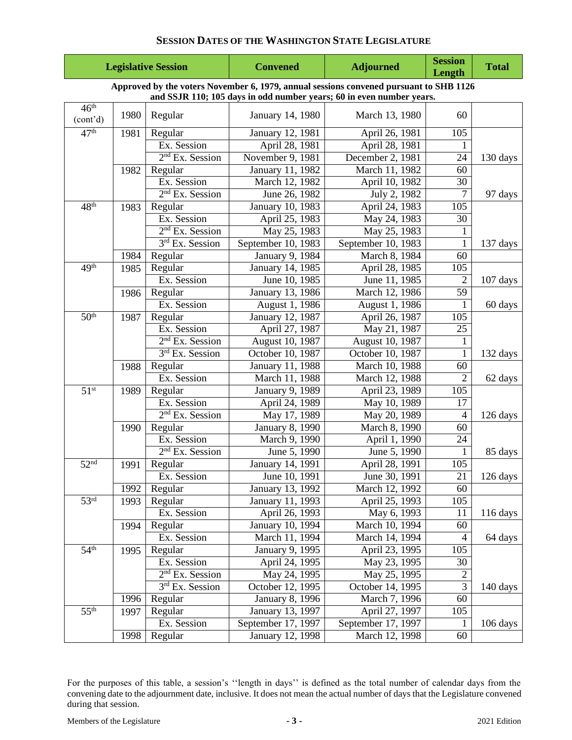|                              |      | <b>Legislative Session</b>  | <b>Convened</b>        | <b>Adjourned</b>                                                                       | <b>Session</b><br>Length | <b>Total</b>       |
|------------------------------|------|-----------------------------|------------------------|----------------------------------------------------------------------------------------|--------------------------|--------------------|
|                              |      |                             |                        | Approved by the voters November 6, 1979, annual sessions convened pursuant to SHB 1126 |                          |                    |
|                              |      |                             |                        | and SSJR 110; 105 days in odd number years; 60 in even number years.                   |                          |                    |
| 46 <sup>th</sup><br>(cont'd) | 1980 | Regular                     | January 14, 1980       | March 13, 1980                                                                         | 60                       |                    |
| 47 <sup>th</sup>             | 1981 | Regular                     | January 12, 1981       | April 26, 1981                                                                         | 105                      |                    |
|                              |      | Ex. Session                 | April 28, 1981         | April 28, 1981                                                                         |                          |                    |
|                              |      | $2nd$ Ex. Session           | November 9, 1981       | December 2, 1981                                                                       | 24                       | 130 days           |
|                              | 1982 | Regular                     | January 11, 1982       | March $11, 1982$                                                                       | 60                       |                    |
|                              |      | Ex. Session                 | March 12, 1982         | April 10, 1982                                                                         | 30                       |                    |
|                              |      | $2nd$ Ex. Session           | June 26, 1982          | July 2, 1982                                                                           | $\overline{7}$           | 97 days            |
| 48 <sup>th</sup>             | 1983 | Regular                     | January 10, 1983       | April 24, 1983                                                                         | 105                      |                    |
|                              |      | Ex. Session                 | April 25, 1983         | May 24, 1983                                                                           | 30                       |                    |
|                              |      | $2nd$ Ex. Session           | May 25, 1983           | May 25, 1983                                                                           | $\mathbf{1}$             |                    |
|                              |      | 3rd Ex. Session             | September 10, 1983     | September 10, 1983                                                                     | $\mathbf{1}$             | 137 days           |
|                              | 1984 | Regular                     | January 9, 1984        | March 8, 1984                                                                          | $\overline{60}$          |                    |
| 49th                         | 1985 | Regular                     | January 14, 1985       | April 28, 1985                                                                         | 105                      |                    |
|                              |      | Ex. Session                 | June 10, 1985          | June 11, 1985                                                                          | $\overline{2}$           | $107$ days         |
|                              | 1986 | Regular                     | January 13, 1986       | March 12, 1986                                                                         | 59                       |                    |
|                              |      | Ex. Session                 | August 1, 1986         | August 1, 1986                                                                         |                          | 60 days            |
| 50 <sup>th</sup>             | 1987 | Regular                     | January 12, 1987       | April 26, 1987                                                                         | 105                      |                    |
|                              |      | Ex. Session                 | April 27, 1987         | May 21, 1987                                                                           | 25                       |                    |
|                              |      | $2nd$ Ex. Session           | August 10, 1987        | August 10, 1987                                                                        |                          |                    |
|                              |      | 3rd Ex. Session             | October 10, 1987       | October 10, 1987                                                                       | 1                        | 132 days           |
|                              | 1988 | Regular                     | January 11, 1988       | March 10, 1988                                                                         | 60                       |                    |
|                              |      | Ex. Session                 | March 11, 1988         | March 12, 1988                                                                         | $\overline{2}$           | 62 days            |
| 51 <sup>st</sup>             | 1989 | Regular                     | January 9, 1989        | April 23, 1989                                                                         | $\overline{105}$         |                    |
|                              |      | Ex. Session                 | April 24, 1989         | May 10, 1989                                                                           | 17                       |                    |
|                              |      | 2 <sup>nd</sup> Ex. Session | May 17, 1989           | May 20, 1989                                                                           | 4                        | $126 \text{ days}$ |
|                              | 1990 | Regular                     | January 8, 1990        | March 8, 1990                                                                          | 60                       |                    |
|                              |      | Ex. Session                 | March 9, 1990          | April 1, 1990                                                                          | 24                       |                    |
|                              |      | 2 <sup>nd</sup> Ex. Session | June 5, 1990           | June 5, 1990                                                                           |                          | 85 days            |
| 52 <sup>nd</sup>             | 1991 | Regular                     | January 14, 1991       | April 28, 1991                                                                         | 105                      |                    |
|                              |      | Ex. Session                 | June 10, 1991          | June 30, 1991                                                                          | 21                       | 126 days           |
|                              | 1992 | Regular                     | January 13, 1992       | March 12, 1992                                                                         | 60                       |                    |
| $\overline{53^{rd}}$         | 1993 | Regular                     | January 11, 1993       | April 25, 1993                                                                         | 105                      |                    |
|                              |      | Ex. Session                 | April 26, 1993         | May 6, 1993                                                                            | 11                       | $116 \text{ days}$ |
|                              | 1994 | Regular                     | January 10, 1994       | March 10, 1994                                                                         | 60                       |                    |
|                              |      | Ex. Session                 | March 11, 1994         | March 14, 1994                                                                         | $\overline{4}$           | 64 days            |
| 54 <sup>th</sup>             | 1995 | Regular                     | January 9, 1995        | April 23, 1995                                                                         | 105                      |                    |
|                              |      | Ex. Session                 | April 24, 1995         | May 23, 1995                                                                           | 30                       |                    |
|                              |      | $2nd$ Ex. Session           | May 24, 1995           | May 25, 1995                                                                           | $\overline{2}$           |                    |
|                              |      | 3rd Ex. Session             | October 12, 1995       | October 14, 1995                                                                       | $\overline{3}$           | 140 days           |
|                              | 1996 | Regular                     | <b>January 8, 1996</b> | March 7, 1996                                                                          | 60                       |                    |
| 55 <sup>th</sup>             | 1997 | Regular                     | January 13, 1997       | April 27, 1997                                                                         | 105                      |                    |
|                              |      | Ex. Session                 | September 17, 1997     | September 17, 1997                                                                     |                          | 106 days           |
|                              | 1998 | Regular                     | January 12, 1998       | March 12, 1998                                                                         | 60                       |                    |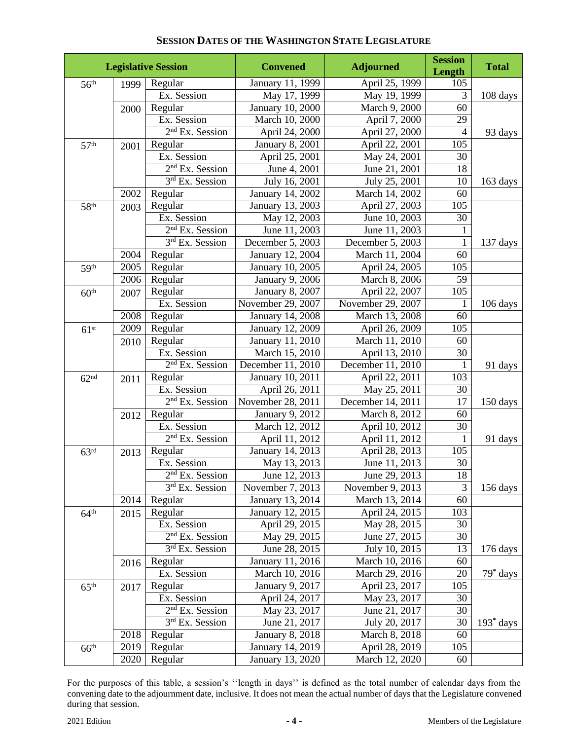| <b>Legislative Session</b> |      |                             | <b>Convened</b>        | <b>Adjourned</b>  | <b>Session</b><br>Length | <b>Total</b>         |
|----------------------------|------|-----------------------------|------------------------|-------------------|--------------------------|----------------------|
| 56 <sup>th</sup>           | 1999 | Regular                     | January 11, 1999       | April 25, 1999    | 105                      |                      |
|                            |      | Ex. Session                 | May 17, 1999           | May 19, 1999      | $\overline{3}$           | 108 days             |
|                            | 2000 | Regular                     | January 10, 2000       | March 9, 2000     | 60                       |                      |
|                            |      | Ex. Session                 | March 10, 2000         | April 7, 2000     | 29                       |                      |
|                            |      | $2nd$ Ex. Session           | April 24, 2000         | April 27, 2000    | $\overline{4}$           | 93 days              |
| 57 <sup>th</sup>           | 2001 | Regular                     | <b>January 8, 2001</b> | April 22, 2001    | 105                      |                      |
|                            |      | Ex. Session                 | April 25, 2001         | May 24, 2001      | 30                       |                      |
|                            |      | $2nd$ Ex. Session           | June 4, 2001           | June 21, 2001     | 18                       |                      |
|                            |      | 3rd Ex. Session             | July 16, 2001          | July 25, 2001     | 10                       | $163 \text{ days}$   |
|                            | 2002 | Regular                     | January 14, 2002       | March 14, 2002    | 60                       |                      |
| 58 <sup>th</sup>           | 2003 | Regular                     | January 13, 2003       | April 27, 2003    | 105                      |                      |
|                            |      | Ex. Session                 | May 12, 2003           | June 10, 2003     | 30                       |                      |
|                            |      | 2 <sup>nd</sup> Ex. Session | June 11, 2003          | June 11, 2003     | $\mathbf{1}$             |                      |
|                            |      | 3rd Ex. Session             | December 5, 2003       | December 5, 2003  | 1                        | $137 \text{ days}$   |
|                            | 2004 | Regular                     | January 12, 2004       | March 11, 2004    | 60                       |                      |
| 59th                       | 2005 | Regular                     | January 10, 2005       | April 24, 2005    | $10\overline{5}$         |                      |
|                            | 2006 | Regular                     | January 9, 2006        | March 8, 2006     | 59                       |                      |
| 60 <sup>th</sup>           | 2007 | Regular                     | January 8, 2007        | April 22, 2007    | 105                      |                      |
|                            |      | Ex. Session                 | November 29, 2007      | November 29, 2007 |                          | $106 \, \text{days}$ |
|                            | 2008 | Regular                     | January 14, 2008       | March 13, 2008    | 60                       |                      |
| 61 <sup>st</sup>           | 2009 | Regular                     | January 12, 2009       | April 26, 2009    | 105                      |                      |
|                            | 2010 | Regular                     | January 11, 2010       | March 11, 2010    | 60                       |                      |
|                            |      | Ex. Session                 | March 15, 2010         | April 13, 2010    | 30                       |                      |
|                            |      | $2nd$ Ex. Session           | December 11, 2010      | December 11, 2010 | 1                        | 91 days              |
| 62 <sup>nd</sup>           | 2011 | Regular                     | January 10, 2011       | April 22, 2011    | 103                      |                      |
|                            |      | Ex. Session                 | April 26, 2011         | May 25, 2011      | 30                       |                      |
|                            |      | 2 <sup>nd</sup> Ex. Session | November 28, 2011      | December 14, 2011 | 17                       | 150 days             |
|                            | 2012 | Regular                     | January 9, 2012        | March 8, 2012     | 60                       |                      |
|                            |      | Ex. Session                 | March 12, 2012         | April 10, 2012    | 30                       |                      |
|                            |      | 2 <sup>nd</sup> Ex. Session | April 11, 2012         | April 11, 2012    | 1                        | 91 days              |
| 63 <sup>rd</sup>           | 2013 | Regular                     | January 14, 2013       | April 28, 2013    | 105                      |                      |
|                            |      | Ex. Session                 | May 13, 2013           | June 11, 2013     | 30                       |                      |
|                            |      | $2nd$ Ex. Session           | June 12, 2013          | June 29, 2013     | 18                       |                      |
|                            |      | 3rd Ex. Session             | November 7, 2013       | November 9, 2013  | 3                        | 156 days             |
|                            | 2014 | Regular                     | January 13, 2014       | March 13, 2014    | 60                       |                      |
| 64 <sup>th</sup>           | 2015 | Regular                     | January 12, 2015       | April 24, 2015    | 103                      |                      |
|                            |      | Ex. Session                 | April 29, 2015         | May 28, 2015      | 30                       |                      |
|                            |      | 2 <sup>nd</sup> Ex. Session | May 29, 2015           | June 27, 2015     | 30                       |                      |
|                            |      | 3rd Ex. Session             | June 28, 2015          | July 10, 2015     | 13                       | 176 days             |
|                            | 2016 | Regular                     | January 11, 2016       | March 10, 2016    | 60                       |                      |
|                            |      | Ex. Session                 | March 10, 2016         | March 29, 2016    | 20                       | $79^*$ days          |
| 65 <sup>th</sup>           | 2017 | Regular                     | January 9, 2017        | April 23, 2017    | 105                      |                      |
|                            |      | Ex. Session                 | April 24, 2017         | May 23, 2017      | 30                       |                      |
|                            |      | $2nd$ Ex. Session           | May 23, 2017           | June 21, 2017     | 30                       |                      |
|                            |      | $3rd$ Ex. Session           | June 21, 2017          | July 20, 2017     | 30                       | $193^*$ days         |
|                            | 2018 | Regular                     | <b>January 8, 2018</b> | March 8, 2018     | 60                       |                      |
| 66 <sup>th</sup>           | 2019 | Regular                     | January 14, 2019       | April 28, 2019    | 105                      |                      |
|                            | 2020 | Regular                     | January 13, 2020       | March 12, 2020    | 60                       |                      |